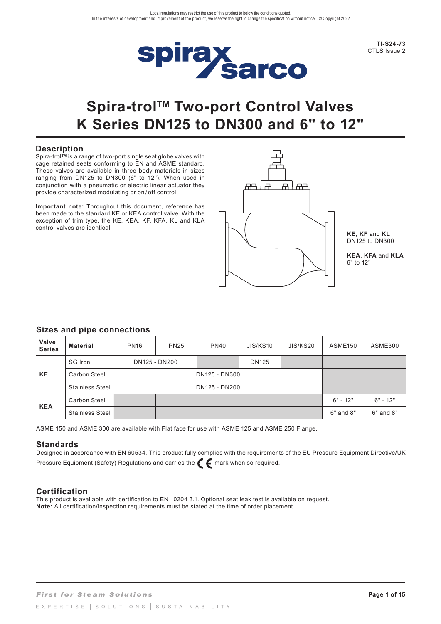

**TI-S24-73** CTLS Issue 2

# **Spira-trolTM Two-port Control Valves K Series DN125 to DN300 and 6" to 12"**

### **Description**

Spira-trol**TM** is a range of two-port single seat globe valves with cage retained seats conforming to EN and ASME standard. These valves are available in three body materials in sizes ranging from DN125 to DN300 (6" to 12"). When used in conjunction with a pneumatic or electric linear actuator they provide characterized modulating or on / off control.

**Important note:** Throughout this document, reference has been made to the standard KE or KEA control valve. With the exception of trim type, the KE, KEA, KF, KFA, KL and KLA control valves are identical.



**KE**, **KF** and **KL**  DN125 to DN300

**KEA**, **KFA** and **KLA**  6" to 12"

### **Sizes and pipe connections**

| Valve<br><b>Series</b> | <b>Material</b>        | <b>PN16</b> | <b>PN25</b>   | <b>PN40</b> | JIS/KS10 | JIS/KS20 | ASME <sub>150</sub> | ASME300       |
|------------------------|------------------------|-------------|---------------|-------------|----------|----------|---------------------|---------------|
| <b>KE</b>              | SG Iron                |             | DN125 - DN200 |             |          |          |                     |               |
|                        | Carbon Steel           |             | DN125 - DN300 |             |          |          |                     |               |
|                        | <b>Stainless Steel</b> |             | DN125 - DN200 |             |          |          |                     |               |
| <b>KEA</b>             | Carbon Steel           |             |               |             |          |          | $6" - 12"$          | $6" - 12"$    |
|                        | <b>Stainless Steel</b> |             |               |             |          |          | $6"$ and $8"$       | $6"$ and $8"$ |

ASME 150 and ASME 300 are available with Flat face for use with ASME 125 and ASME 250 Flange.

### **Standards**

Designed in accordance with EN 60534. This product fully complies with the requirements of the EU Pressure Equipment Directive/UK Pressure Equipment (Safety) Regulations and carries the  $\epsilon$  mark when so required.

### **Certification**

This product is available with certification to EN 10204 3.1. Optional seat leak test is available on request. **Note:** All certification/inspection requirements must be stated at the time of order placement.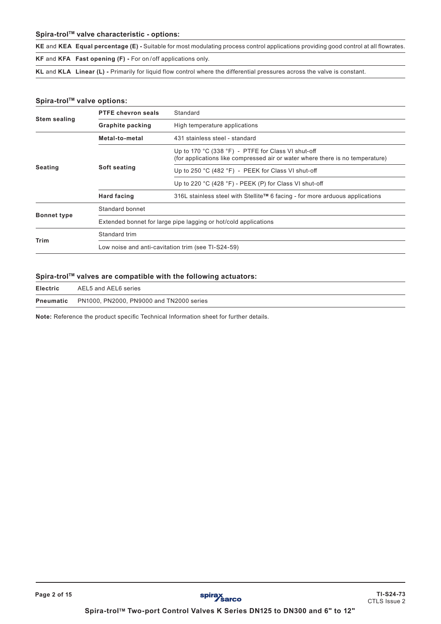### **Spira-trolTM valve characteristic - options:**

**KE** and **KEA Equal percentage (E) -** Suitable for most modulating process control applications providing good control at all flowrates. **KF** and **KFA Fast opening (F) -** For on / off applications only.

**KL** and **KLA Linear (L) -** Primarily for liquid flow control where the differential pressures across the valve is constant.

### Spira-trol<sup>™</sup> valve options:

**Page 2 of 15**

|                     | <b>PTFE chevron seals</b>                                       | Standard                                                                                                                            |  |  |  |
|---------------------|-----------------------------------------------------------------|-------------------------------------------------------------------------------------------------------------------------------------|--|--|--|
| <b>Stem sealing</b> | <b>Graphite packing</b>                                         | High temperature applications                                                                                                       |  |  |  |
|                     | Metal-to-metal                                                  | 431 stainless steel - standard                                                                                                      |  |  |  |
|                     |                                                                 | Up to 170 °C (338 °F) - PTFE for Class VI shut-off<br>(for applications like compressed air or water where there is no temperature) |  |  |  |
| Seating             | Soft seating                                                    | Up to 250 °C (482 °F) - PEEK for Class VI shut-off                                                                                  |  |  |  |
|                     |                                                                 | Up to 220 °C (428 °F) - PEEK (P) for Class VI shut-off                                                                              |  |  |  |
|                     | <b>Hard facing</b>                                              | 316L stainless steel with Stellite™ 6 facing - for more arduous applications                                                        |  |  |  |
|                     | Standard bonnet                                                 |                                                                                                                                     |  |  |  |
| <b>Bonnet type</b>  | Extended bonnet for large pipe lagging or hot/cold applications |                                                                                                                                     |  |  |  |
|                     | Standard trim                                                   |                                                                                                                                     |  |  |  |
| <b>Trim</b>         | Low noise and anti-cavitation trim (see TI-S24-59)              |                                                                                                                                     |  |  |  |

### Spira-trol<sup>™</sup> valves are compatible with the following actuators:

| <b>Electric</b> | AEL5 and AEL6 series                                      |
|-----------------|-----------------------------------------------------------|
|                 | <b>Pneumatic</b> PN1000, PN2000, PN9000 and TN2000 series |

**Note:** Reference the product specific Technical Information sheet for further details.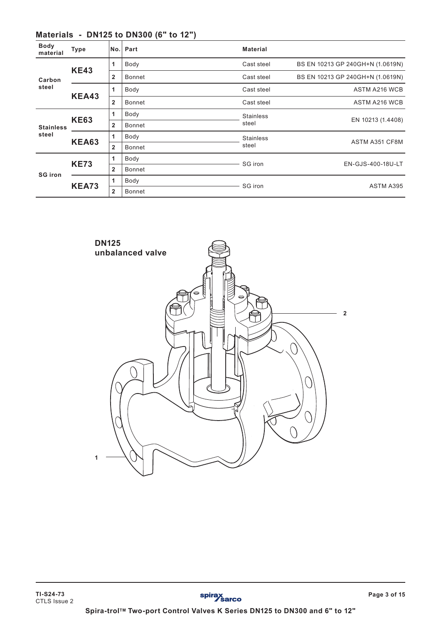| <b>Body</b><br>material | <b>Type</b>  | No.            | Part   | <b>Material</b>  |                                  |  |
|-------------------------|--------------|----------------|--------|------------------|----------------------------------|--|
|                         | <b>KE43</b>  | 1              | Body   | Cast steel       | BS EN 10213 GP 240GH+N (1.0619N) |  |
| Carbon<br>steel         |              | $\overline{2}$ | Bonnet | Cast steel       | BS EN 10213 GP 240GH+N (1.0619N) |  |
|                         | <b>KEA43</b> | 1              | Body   | Cast steel       | <b>ASTM A216 WCB</b>             |  |
|                         |              | $\overline{2}$ | Bonnet | Cast steel       | ASTM A216 WCB                    |  |
|                         | <b>KE63</b>  | 1              | Body   | <b>Stainless</b> | EN 10213 (1.4408)                |  |
| <b>Stainless</b>        |              | $\overline{2}$ | Bonnet | steel            |                                  |  |
| steel                   | <b>KEA63</b> | 1              | Body   | <b>Stainless</b> | ASTM A351 CF8M                   |  |
|                         |              | $\overline{2}$ | Bonnet | steel            |                                  |  |
|                         |              | 1              | Body   | SG iron          | EN-GJS-400-18U-LT                |  |
| <b>SG iron</b>          | <b>KE73</b>  | $\mathbf{2}$   | Bonnet |                  |                                  |  |
|                         |              | 1              | Body   | SG iron          | ASTM A395                        |  |
|                         | <b>KEA73</b> | $\mathbf{2}$   | Bonnet |                  |                                  |  |

# **Materials - DN125 to DN300 (6" to 12")**

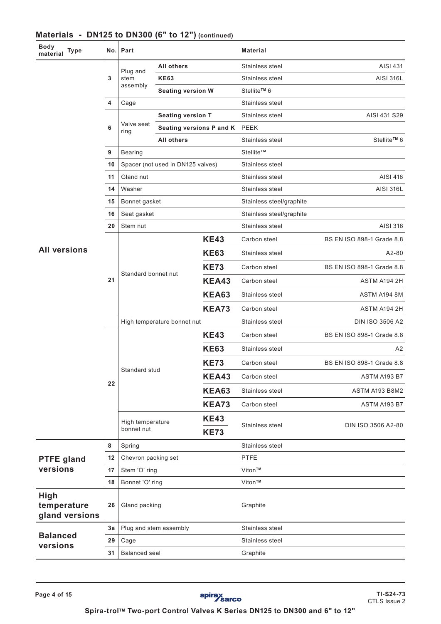| Body<br>material<br><b>Type</b>              | No. | Part                           |                                   |                          | <b>Material</b>          |                           |
|----------------------------------------------|-----|--------------------------------|-----------------------------------|--------------------------|--------------------------|---------------------------|
|                                              |     | Plug and                       | <b>All others</b>                 |                          | Stainless steel          | AISI 431                  |
|                                              | 3   | stem                           | <b>KE63</b>                       |                          | Stainless steel          | <b>AISI 316L</b>          |
|                                              |     | assembly                       | <b>Seating version W</b>          |                          | Stellite™ 6              |                           |
|                                              | 4   | Cage                           |                                   | Stainless steel          |                          |                           |
|                                              |     |                                | <b>Seating version T</b>          |                          | Stainless steel          | AISI 431 S29              |
|                                              | 6   | Valve seat<br>ring             | Seating versions P and K PEEK     |                          |                          |                           |
|                                              |     |                                | <b>All others</b>                 |                          | Stainless steel          | Stellite™ 6               |
|                                              | 9   | <b>Bearing</b>                 |                                   |                          | Stellite™                |                           |
|                                              | 10  |                                | Spacer (not used in DN125 valves) |                          | Stainless steel          |                           |
|                                              | 11  | Gland nut                      |                                   |                          | Stainless steel          | AISI 416                  |
|                                              | 14  | Washer                         |                                   |                          | Stainless steel          | <b>AISI 316L</b>          |
|                                              | 15  | Bonnet gasket                  |                                   |                          | Stainless steel/graphite |                           |
|                                              | 16  | Seat gasket                    |                                   | Stainless steel/graphite |                          |                           |
|                                              | 20  | Stem nut                       |                                   |                          | Stainless steel          | AISI 316                  |
|                                              |     |                                |                                   | <b>KE43</b>              | Carbon steel             | BS EN ISO 898-1 Grade 8.8 |
| <b>All versions</b>                          | 21  | Standard bonnet nut            |                                   | <b>KE63</b>              | Stainless steel          | A2-80                     |
|                                              |     |                                |                                   | <b>KE73</b>              | Carbon steel             | BS EN ISO 898-1 Grade 8.8 |
|                                              |     |                                |                                   | KEA43                    | Carbon steel             | ASTM A194 2H              |
|                                              |     |                                |                                   | <b>KEA63</b>             | Stainless steel          | ASTM A194 8M              |
|                                              |     |                                |                                   | <b>KEA73</b>             | Carbon steel             | ASTM A194 2H              |
|                                              |     | High temperature bonnet nut    |                                   | Stainless steel          | <b>DIN ISO 3506 A2</b>   |                           |
|                                              |     |                                |                                   | <b>KE43</b>              | Carbon steel             | BS EN ISO 898-1 Grade 8.8 |
|                                              |     |                                |                                   | <b>KE63</b>              | Stainless steel          | A2                        |
|                                              |     |                                |                                   | <b>KE73</b>              | Carbon steel             | BS EN ISO 898-1 Grade 8.8 |
|                                              | 22  | Standard stud                  |                                   | <b>KEA43</b>             | Carbon steel             | ASTM A193 B7              |
|                                              |     |                                |                                   | <b>KEA63</b>             | Stainless steel          | ASTM A193 B8M2            |
|                                              |     |                                |                                   | <b>KEA73</b>             | Carbon steel             | ASTM A193 B7              |
|                                              |     | High temperature<br>bonnet nut |                                   | <b>KE43</b>              | Stainless steel          | DIN ISO 3506 A2-80        |
|                                              |     |                                |                                   | <b>KE73</b>              |                          |                           |
|                                              | 8   | Spring                         |                                   |                          | Stainless steel          |                           |
| <b>PTFE gland</b>                            | 12  | Chevron packing set            |                                   |                          | PTFE                     |                           |
| versions                                     | 17  | Stem 'O' ring                  |                                   |                          | Viton™                   |                           |
|                                              | 18  | Bonnet 'O' ring                |                                   |                          | Viton™                   |                           |
| <b>High</b><br>temperature<br>gland versions | 26  | Gland packing                  |                                   |                          | Graphite                 |                           |
|                                              | За  | Plug and stem assembly         |                                   |                          | Stainless steel          |                           |
| <b>Balanced</b><br>versions                  | 29  | Cage                           |                                   |                          | Stainless steel          |                           |
|                                              | 31  | <b>Balanced seal</b>           |                                   |                          | Graphite                 |                           |

# **Materials - DN125 to DN300 (6" to 12") (continued)**

Spira-trol<sup>™</sup> Two-port Control Valves K Series DN125 to DN300 and 6" to 12"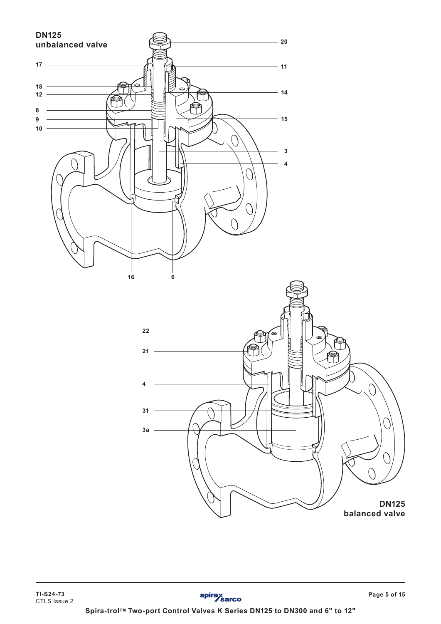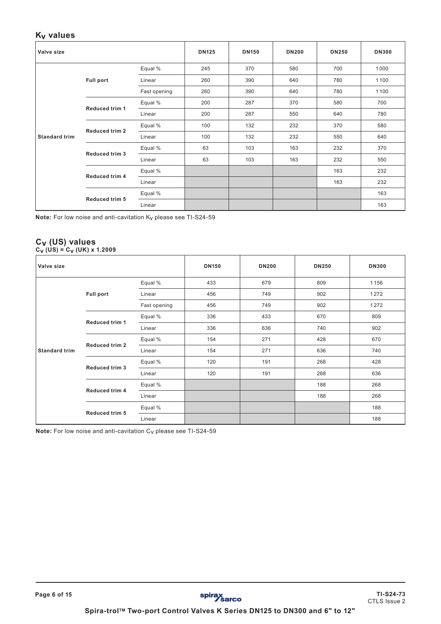### **Kv values**

| Valve size           |                       |              | <b>DN125</b> | <b>DN150</b> | <b>DN200</b> | <b>DN250</b> | <b>DN300</b> |
|----------------------|-----------------------|--------------|--------------|--------------|--------------|--------------|--------------|
|                      |                       | Equal %      | 245          | 370          | 580          | 700          | 1000         |
|                      | <b>Full port</b>      | Linear       | 260          | 390          | 640          | 780          | 1100         |
|                      |                       | Fast opening | 260          | 390          | 640          | 780          | 1100         |
|                      | <b>Reduced trim 1</b> | Equal %      | 200          | 287          | 370          | 580          | 700          |
|                      |                       | Linear       | 200          | 287          | 550          | 640          | 780          |
|                      | Reduced trim 2        | Equal %      | 100          | 132          | 232          | 370          | 580          |
| <b>Standard trim</b> |                       | Linear       | 100          | 132          | 232          | 550          | 640          |
|                      | Reduced trim 3        | Equal %      | 63           | 103          | 163          | 232          | 370          |
|                      |                       | Linear       | 63           | 103          | 163          | 232          | 550          |
|                      | Reduced trim 4        | Equal %      |              |              |              | 163          | 232          |
|                      |                       | Linear       |              |              |              | 163          | 232          |
|                      |                       | Equal %      |              |              |              |              | 163          |
|                      | <b>Reduced trim 5</b> | Linear       |              |              |              |              | 163          |

**Note:** For low noise and anti-cavitation Kv please see TI-S24-59

### **Cv (US) values Cv (US) = Cv (UK) x 1.2009**

| Valve size           |                       |              | <b>DN150</b> | <b>DN200</b> | <b>DN250</b> | <b>DN300</b> |
|----------------------|-----------------------|--------------|--------------|--------------|--------------|--------------|
|                      |                       | Equal %      | 433          | 679          | 809          | 1156         |
|                      | <b>Full port</b>      | Linear       | 456          | 749          | 902          | 1272         |
|                      |                       | Fast opening | 456          | 749          | 902          | 1272         |
|                      | Reduced trim 1        | Equal %      | 336          | 433          | 670          | 809          |
|                      |                       | Linear       | 336          | 636          | 740          | 902          |
|                      | <b>Reduced trim 2</b> | Equal %      | 154          | 271          | 428          | 670          |
| <b>Standard trim</b> |                       | Linear       | 154          | 271          | 636          | 740          |
|                      |                       | Equal %      | 120          | 191          | 268          | 428          |
|                      | <b>Reduced trim 3</b> | Linear       | 120          | 191          | 268          | 636          |
|                      | Reduced trim 4        | Equal %      |              |              | 188          | 268          |
|                      |                       | Linear       |              |              | 188          | 268          |
|                      |                       | Equal %      |              |              |              | 188          |
|                      | <b>Reduced trim 5</b> | Linear       |              |              |              | 188          |

**Note:** For low noise and anti-cavitation Cv please see TI-S24-59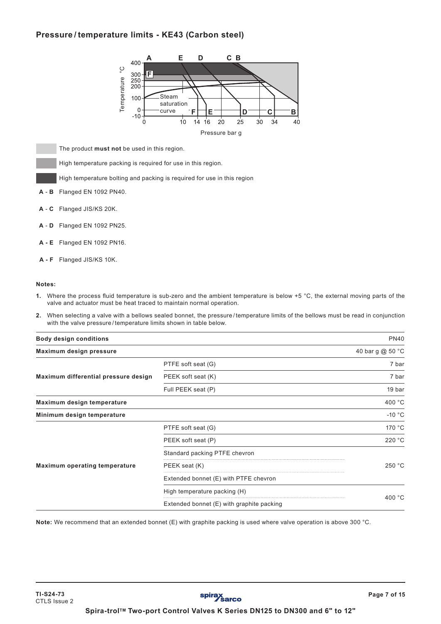# **Pressure / temperature limits - KE43 (Carbon steel)**



The product **must not** be used in this region.

High temperature packing is required for use in this region.

High temperature bolting and packing is required for use in this region

- **A B** Flanged EN 1092 PN40.
- **A C** Flanged JIS/KS 20K.
- **A D** Flanged EN 1092 PN25.
- **A E** Flanged EN 1092 PN16.
- **A F** Flanged JIS/KS 10K.

#### **Notes:**

- **1.** Where the process fluid temperature is sub-zero and the ambient temperature is below +5 °C, the external moving parts of the valve and actuator must be heat traced to maintain normal operation.
- **2.** When selecting a valve with a bellows sealed bonnet, the pressure / temperature limits of the bellows must be read in conjunction with the valve pressure / temperature limits shown in table below.

| <b>Body design conditions</b>        |                                           | <b>PN40</b>                |
|--------------------------------------|-------------------------------------------|----------------------------|
| Maximum design pressure              |                                           | 40 bar g @ 50 $^{\circ}$ C |
|                                      | PTFE soft seat (G)                        | 7 bar                      |
| Maximum differential pressure design | PEEK soft seat (K)                        | 7 bar                      |
|                                      | Full PEEK seat (P)                        | 19 bar                     |
| Maximum design temperature           |                                           | 400 °C                     |
| Minimum design temperature           |                                           | $-10 °C$                   |
|                                      | PTFE soft seat (G)                        | 170 °C                     |
|                                      | PEEK soft seat (P)                        | 220 °C                     |
|                                      | Standard packing PTFE chevron             |                            |
| Maximum operating temperature        | PEEK seat (K)                             | 250 °C                     |
|                                      | Extended bonnet (E) with PTFE chevron     |                            |
|                                      | High temperature packing (H)              |                            |
|                                      | Extended bonnet (E) with graphite packing | 400 $^{\circ}$ C           |

**Note:** We recommend that an extended bonnet (E) with graphite packing is used where valve operation is above 300 °C.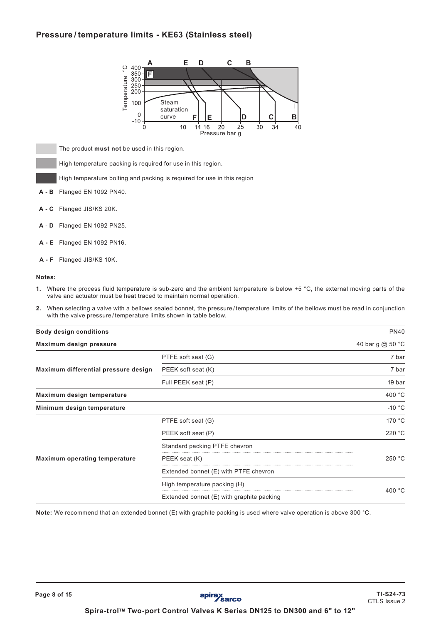# **Pressure / temperature limits - KE63 (Stainless steel)**



The product **must not** be used in this region.

High temperature packing is required for use in this region.

High temperature bolting and packing is required for use in this region

- **A B** Flanged EN 1092 PN40.
- **A C** Flanged JIS/KS 20K.
- **A D** Flanged EN 1092 PN25.
- **A E** Flanged EN 1092 PN16.
- **A F** Flanged JIS/KS 10K.

#### **Notes:**

- **1.** Where the process fluid temperature is sub-zero and the ambient temperature is below +5 °C, the external moving parts of the valve and actuator must be heat traced to maintain normal operation.
- **2.** When selecting a valve with a bellows sealed bonnet, the pressure / temperature limits of the bellows must be read in conjunction with the valve pressure / temperature limits shown in table below.

| <b>Body design conditions</b>        |                                           | <b>PN40</b>                |
|--------------------------------------|-------------------------------------------|----------------------------|
| Maximum design pressure              |                                           | 40 bar g @ 50 $^{\circ}$ C |
|                                      | PTFE soft seat (G)                        | 7 bar                      |
| Maximum differential pressure design | PEEK soft seat (K)                        | 7 bar                      |
|                                      | Full PEEK seat (P)                        | 19 bar                     |
| Maximum design temperature           |                                           | 400 $^{\circ}$ C           |
| Minimum design temperature           |                                           | $-10 °C$                   |
|                                      | PTFE soft seat (G)                        | 170 °C                     |
|                                      | PEEK soft seat (P)                        | 220 °C                     |
|                                      | Standard packing PTFE chevron             |                            |
| <b>Maximum operating temperature</b> | PEEK seat (K)                             | 250 °C                     |
|                                      | Extended bonnet (E) with PTFE chevron     |                            |
|                                      | High temperature packing (H)              |                            |
|                                      | Extended bonnet (E) with graphite packing | 400 $^{\circ}$ C           |

**Note:** We recommend that an extended bonnet (E) with graphite packing is used where valve operation is above 300 °C.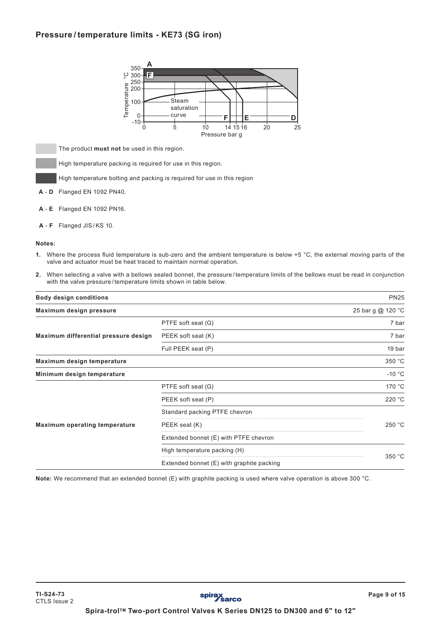# **Pressure / temperature limits - KE73 (SG iron)**



The product **must not** be used in this region.

High temperature packing is required for use in this region.

High temperature bolting and packing is required for use in this region

- **A D** Flanged EN 1092 PN40.
- **A E** Flanged EN 1092 PN16.
- **A F** Flanged JIS/KS 10.

#### **Notes:**

- **1.** Where the process fluid temperature is sub-zero and the ambient temperature is below +5 °C, the external moving parts of the valve and actuator must be heat traced to maintain normal operation.
- **2.** When selecting a valve with a bellows sealed bonnet, the pressure / temperature limits of the bellows must be read in conjunction with the valve pressure / temperature limits shown in table below.

| <b>Body design conditions</b>        |                                           | <b>PN25</b>       |
|--------------------------------------|-------------------------------------------|-------------------|
| Maximum design pressure              |                                           | 25 bar g @ 120 °C |
|                                      | PTFE soft seat (G)                        | 7 bar             |
| Maximum differential pressure design | PEEK soft seat (K)                        | 7 bar             |
|                                      | Full PEEK seat (P)                        | 19 bar            |
| Maximum design temperature           |                                           | 350 °C            |
| Minimum design temperature           |                                           | $-10 °C$          |
|                                      | PTFE soft seat (G)                        | 170 °C            |
|                                      | PEEK soft seat (P)                        | 220 °C            |
|                                      | Standard packing PTFE chevron             |                   |
| <b>Maximum operating temperature</b> | PEEK seat (K)                             | 250 °C            |
|                                      | Extended bonnet (E) with PTFE chevron     |                   |
|                                      | High temperature packing (H)              |                   |
|                                      | Extended bonnet (E) with graphite packing | 350 °C            |

**Note:** We recommend that an extended bonnet (E) with graphite packing is used where valve operation is above 300 °C.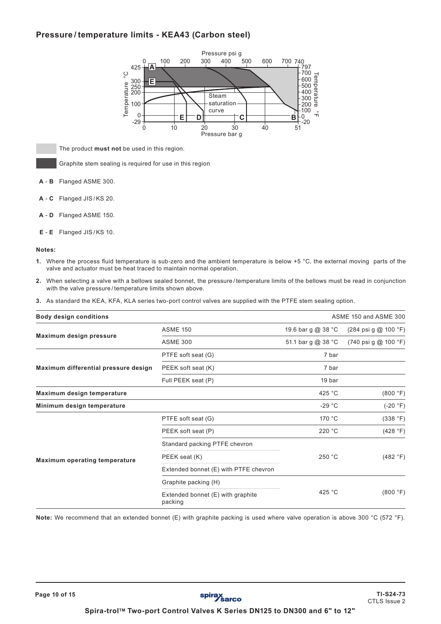# **Pressure / temperature limits - KEA43 (Carbon steel)**



The product **must not** be used in this region.

Graphite stem sealing is required for use in this region

- **A B** Flanged ASME 300.
- **A C** Flanged JIS/KS 20.
- **A D** Flanged ASME 150.
- **E E** Flanged JIS/KS 10.

#### **Notes:**

- **1.** Where the process fluid temperature is sub-zero and the ambient temperature is below +5 °C, the external moving parts of the valve and actuator must be heat traced to maintain normal operation.
- **2.** When selecting a valve with a bellows sealed bonnet, the pressure / temperature limits of the bellows must be read in conjunction with the valve pressure / temperature limits shown above.
- **3.** As standard the KEA, KFA, KLA series two-port control valves are supplied with the PTFE stem sealing option.

| <b>Body design conditions</b>        |                                              |                    | ASME 150 and ASME 300                            |
|--------------------------------------|----------------------------------------------|--------------------|--------------------------------------------------|
|                                      | <b>ASME 150</b>                              | 19.6 bar g @ 38 °C | $(284 \text{ psi } g \text{ @ } 100 \text{ °F})$ |
| Maximum design pressure              | <b>ASME 300</b>                              | 51.1 bar g @ 38 °C | $(740 \text{ psi } g \text{ @ } 100 \text{ °F})$ |
|                                      | PTFE soft seat (G)                           | 7 bar              |                                                  |
| Maximum differential pressure design | PEEK soft seat (K)                           | 7 bar              |                                                  |
|                                      | Full PEEK seat (P)                           | 19 bar             |                                                  |
| Maximum design temperature           |                                              | 425 $°C$           | (800 °F)                                         |
| Minimum design temperature           |                                              | $-29 °C$           | $(-20 °F)$                                       |
|                                      | PTFE soft seat (G)                           | 170 °C             | (338 °F)                                         |
|                                      | PEEK soft seat (P)                           | 220 °C             | (428 °F)                                         |
|                                      | Standard packing PTFE chevron                |                    |                                                  |
| <b>Maximum operating temperature</b> | PEEK seat (K)                                | 250 °C             | (482 °F)                                         |
|                                      | Extended bonnet (E) with PTFE chevron        |                    |                                                  |
|                                      | Graphite packing (H)                         |                    |                                                  |
|                                      | Extended bonnet (E) with graphite<br>packing | 425 $^{\circ}$ C   | (800 °F)                                         |

**Note:** We recommend that an extended bonnet (E) with graphite packing is used where valve operation is above 300 °C (572 °F).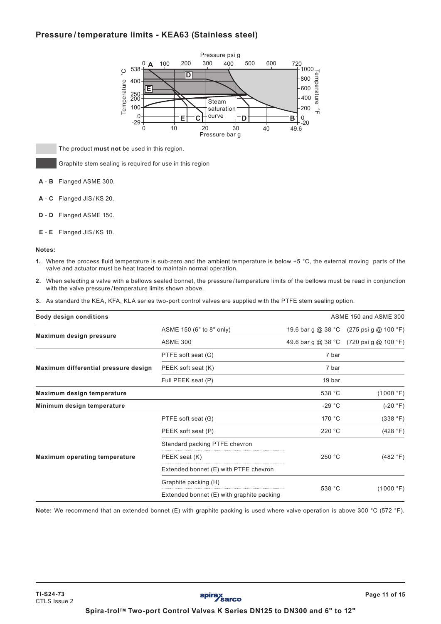# **Pressure / temperature limits - KEA63 (Stainless steel)**



The product **must not** be used in this region.

Graphite stem sealing is required for use in this region

- **A B** Flanged ASME 300.
- **A C** Flanged JIS/KS 20.
- **D D** Flanged ASME 150.
- **E E** Flanged JIS/KS 10.

#### **Notes:**

- **1.** Where the process fluid temperature is sub-zero and the ambient temperature is below +5 °C, the external moving parts of the valve and actuator must be heat traced to maintain normal operation.
- **2.** When selecting a valve with a bellows sealed bonnet, the pressure / temperature limits of the bellows must be read in conjunction with the valve pressure / temperature limits shown above.
- **3.** As standard the KEA, KFA, KLA series two-port control valves are supplied with the PTFE stem sealing option.

| ASME 150 and ASME 300<br><b>Body design conditions</b> |                                           |                 |                                         |
|--------------------------------------------------------|-------------------------------------------|-----------------|-----------------------------------------|
|                                                        | ASME 150 (6" to 8" only)                  |                 | 19.6 bar g @ 38 °C (275 psi g @ 100 °F) |
| Maximum design pressure                                | <b>ASME 300</b>                           |                 | 49.6 bar g @ 38 °C (720 psi g @ 100 °F) |
|                                                        | PTFE soft seat (G)                        | 7 bar           |                                         |
| Maximum differential pressure design                   | PEEK soft seat (K)                        | 7 bar           |                                         |
|                                                        | Full PEEK seat (P)                        | 19 bar          |                                         |
| Maximum design temperature                             |                                           | 538 °C          | (1000 °F)                               |
| Minimum design temperature                             |                                           | $-29 °C$        | $(-20 °F)$                              |
|                                                        | PTFE soft seat (G)                        | 170 $\degree$ C | (338 °F)                                |
|                                                        | PEEK soft seat (P)                        | 220 °C          | (428 °F)                                |
|                                                        | Standard packing PTFE chevron             |                 |                                         |
| <b>Maximum operating temperature</b>                   | PEEK seat (K)                             | 250 °C          | (482 °F)                                |
|                                                        | Extended bonnet (E) with PTFE chevron     |                 |                                         |
|                                                        | Graphite packing (H)                      |                 |                                         |
|                                                        | Extended bonnet (E) with graphite packing | 538 °C          | (1000 °F)                               |

**Note:** We recommend that an extended bonnet (E) with graphite packing is used where valve operation is above 300 °C (572 °F).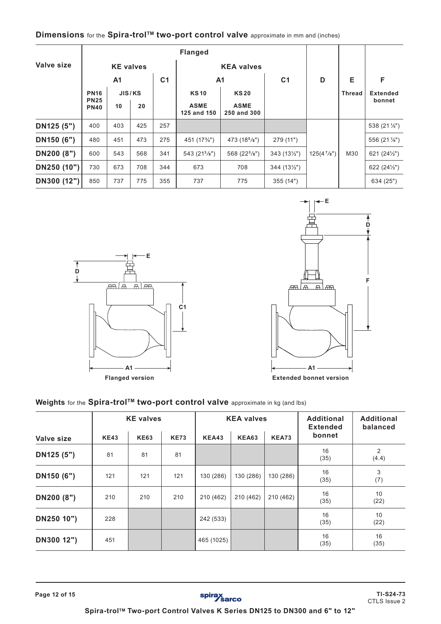| Valve size  |                            | <b>KE</b> valves |     |                |                            | <b>KEA valves</b>          |                      |               |               |                       |
|-------------|----------------------------|------------------|-----|----------------|----------------------------|----------------------------|----------------------|---------------|---------------|-----------------------|
|             |                            | A <sub>1</sub>   |     | C <sub>1</sub> |                            | A <sub>1</sub>             | C <sub>1</sub>       | D             | Е             | F                     |
|             | <b>PN16</b>                | JIS/KS           |     |                | <b>KS10</b>                | <b>KS20</b>                |                      |               | <b>Thread</b> | <b>Extended</b>       |
|             | <b>PN25</b><br><b>PN40</b> | 10               | 20  |                | <b>ASME</b><br>125 and 150 | <b>ASME</b><br>250 and 300 |                      |               |               | bonnet                |
| DN125 (5")  | 400                        | 403              | 425 | 257            |                            |                            |                      |               |               | 538 (21 1/5")         |
| DN150 (6")  | 480                        | 451              | 473 | 275            | 451 (173/4")               | 473 (18 <sup>5</sup> /8")  | 279 (11")            |               |               | 556 (21 %")           |
| DN200 (8")  | 600                        | 543              | 568 | 341            | 543 (21 <sup>3</sup> /s")  | 568 (22 $\frac{3}{8}$ ")   | $343(13\frac{1}{2})$ | $125(4^7/s")$ | M30           | 621 $(24\frac{1}{2})$ |
| DN250 (10") | 730                        | 673              | 708 | 344            | 673                        | 708                        | $344(13\frac{1}{2})$ |               |               | 622 $(24\frac{1}{2})$ |
| DN300 (12") | 850                        | 737              | 775 | 355            | 737                        | 775                        | 355(14")             |               |               | 634 (25")             |

# **Dimensions** for the **Spira-trol™ two-port control valve** approximate in mm and (inches)



**Flanged version**



**Extended bonnet version**

# Weights for the Spira-trol<sup>TM</sup> two-port control valve approximate in kg (and lbs)

|            |             | <b>KE</b> valves |             |              | <b>KEA valves</b> |              | <b>Additional</b><br><b>Extended</b> | <b>Additional</b><br>balanced |  |
|------------|-------------|------------------|-------------|--------------|-------------------|--------------|--------------------------------------|-------------------------------|--|
| Valve size | <b>KE43</b> | <b>KE63</b>      | <b>KE73</b> | <b>KEA43</b> | <b>KEA63</b>      | <b>KEA73</b> | bonnet                               |                               |  |
| DN125 (5") | 81          | 81               | 81          |              |                   |              | 16<br>(35)                           | 2<br>(4.4)                    |  |
| DN150 (6") | 121         | 121              | 121         | 130 (286)    | 130 (286)         | 130 (286)    | 16<br>(35)                           | 3<br>(7)                      |  |
| DN200 (8") | 210         | 210              | 210         | 210 (462)    | 210 (462)         | 210 (462)    | 16<br>(35)                           | 10<br>(22)                    |  |
| DN250 10") | 228         |                  |             | 242 (533)    |                   |              | 16<br>(35)                           | 10<br>(22)                    |  |
| DN300 12") | 451         |                  |             | 465 (1025)   |                   |              | 16<br>(35)                           | 16<br>(35)                    |  |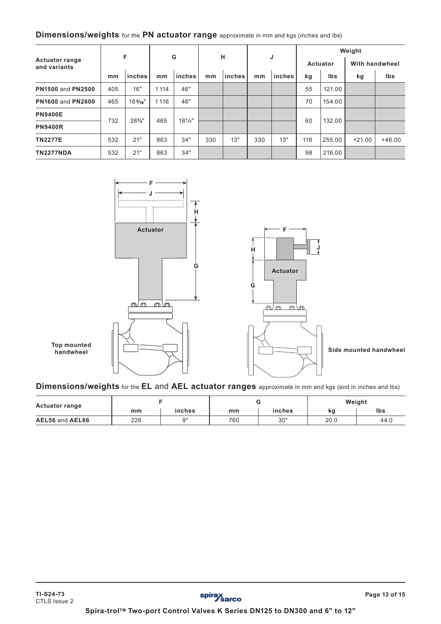# **Dimensions/weights** for the **PN actuator range** approximate in mm and kgs (inches and lbs)

|                                       |     |                   |         |             |     |        |     |        | Weight          |        |                       |          |  |
|---------------------------------------|-----|-------------------|---------|-------------|-----|--------|-----|--------|-----------------|--------|-----------------------|----------|--|
| <b>Actuator range</b><br>and variants |     | F                 | G       |             | н   |        |     | J      | <b>Actuator</b> |        | <b>With handwheel</b> |          |  |
|                                       | mm  | inches            | mm      | inches      | mm  | inches | mm  | inches | kg              | Ibs    | kg                    | Ibs      |  |
| <b>PN1500 and PN2500</b>              | 405 | 16"               | 1114    | 46"         |     |        |     |        | 55              | 121.00 |                       |          |  |
| <b>PN1600 and PN2600</b>              | 465 | $18\frac{5}{16}$  | 1 1 1 6 | 46"         |     |        |     |        | 70              | 154.00 |                       |          |  |
| <b>PN9400E</b>                        |     |                   |         |             |     |        |     |        |                 |        |                       |          |  |
| <b>PN9400R</b>                        | 732 | $28\frac{3}{4}$ " | 465     | $18^{1}/3"$ |     |        |     |        | 60              | 132.00 |                       |          |  |
| <b>TN2277E</b>                        | 532 | 21"               | 863     | 34"         | 330 | 13"    | 330 | 13"    | 116             | 255.00 | $+21.00$              | $+46.00$ |  |
| <b>TN2277NDA</b>                      | 532 | 21"               | 863     | 34"         |     |        |     |        | 98              | 216.00 |                       |          |  |



**Dimensions/weights** for the **EL** and **AEL actuator ranges** approximate in mm and kgs (and in inches and lbs)

| <b>Actuator range</b> |     |           |     |        | Weight |      |  |
|-----------------------|-----|-----------|-----|--------|--------|------|--|
|                       | mm  | inches    | mm  | inches | kg     | Ibs  |  |
| AEL56 and AEL66       | 226 | <b>Q"</b> | 760 | 30"    | 20.0   | 44.0 |  |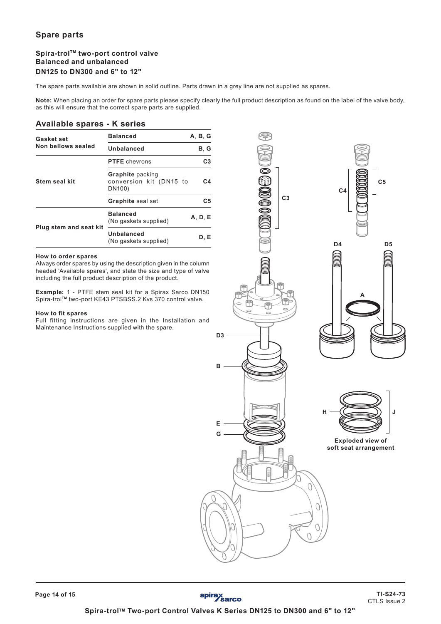# **Spare parts**

### Spira-trol<sup>™</sup> two-port control valve **Balanced and unbalanced DN125 to DN300 and 6" to 12"**

The spare parts available are shown in solid outline. Parts drawn in a grey line are not supplied as spares.

**Note:** When placing an order for spare parts please specify clearly the full product description as found on the label of the valve body, as this will ensure that the correct spare parts are supplied.

### **Available spares - K series**

| Gasket set                                     | <b>Balanced</b>                                              | A. B. G        |
|------------------------------------------------|--------------------------------------------------------------|----------------|
| Non bellows sealed                             | Unbalanced                                                   | B, G           |
|                                                | <b>PTFE</b> chevrons                                         | C <sub>3</sub> |
| <b>Stem seal kit</b><br>Plug stem and seat kit | <b>Graphite</b> packing<br>conversion kit (DN15 to<br>DN100) | C4             |
|                                                | <b>Graphite</b> seal set                                     | C5             |
|                                                | <b>Balanced</b><br>(No gaskets supplied)                     | A, D, E        |
|                                                | Unbalanced<br>(No gaskets supplied)                          | D. E           |

#### **How to order spares**

Always order spares by using the description given in the column headed 'Available spares', and state the size and type of valve including the full product description of the product.

**Example:** 1 - PTFE stem seal kit for a Spirax Sarco DN150 Spira-trol**TM** two-port KE43 PTSBSS.2 Kvs 370 control valve.

#### **How to fit spares**

**Page 14 of 15**

Full fitting instructions are given in the Installation and Maintenance Instructions supplied with the spare.